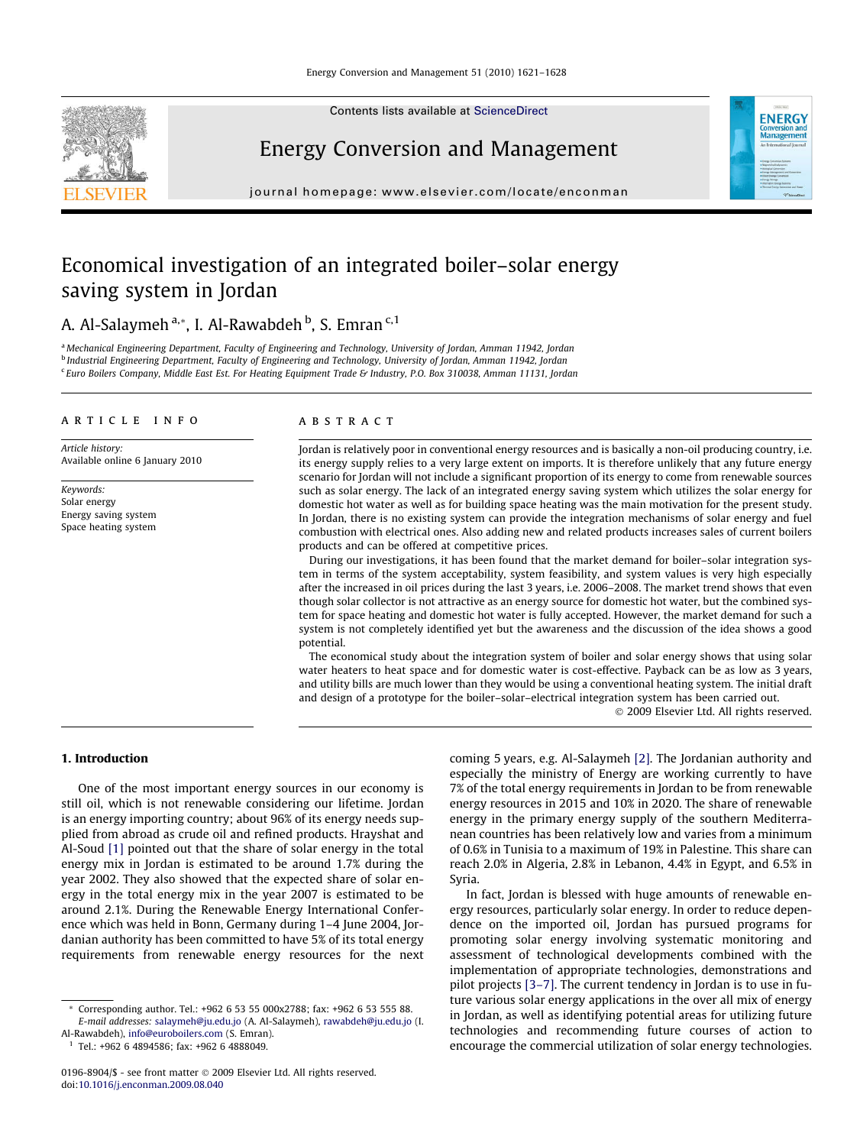Contents lists available at [ScienceDirect](http://www.sciencedirect.com/science/journal/01968904)



Energy Conversion and Management

journal homepage: [www.elsevier.com/locate/enconman](http://www.elsevier.com/locate/enconman)

# **ENERGY Managemen**

### Economical investigation of an integrated boiler–solar energy saving system in Jordan

A. Al-Salaymeh <sup>a,</sup>\*, I. Al-Rawabdeh <sup>b</sup>, S. Emran <sup>c, 1</sup>

<sup>a</sup> Mechanical Engineering Department, Faculty of Engineering and Technology, University of Jordan, Amman 11942, Jordan <sup>b</sup> Industrial Engineering Department, Faculty of Engineering and Technology, University of Jordan, Amman 11942, Jordan <sup>c</sup> Euro Boilers Company, Middle East Est. For Heating Equipment Trade & Industry, P.O. Box 310038, Amman 11131, Jordan

#### article info

Article history: Available online 6 January 2010

Keywords: Solar energy Energy saving system Space heating system

#### ABSTRACT

Jordan is relatively poor in conventional energy resources and is basically a non-oil producing country, i.e. its energy supply relies to a very large extent on imports. It is therefore unlikely that any future energy scenario for Jordan will not include a significant proportion of its energy to come from renewable sources such as solar energy. The lack of an integrated energy saving system which utilizes the solar energy for domestic hot water as well as for building space heating was the main motivation for the present study. In Jordan, there is no existing system can provide the integration mechanisms of solar energy and fuel combustion with electrical ones. Also adding new and related products increases sales of current boilers products and can be offered at competitive prices.

During our investigations, it has been found that the market demand for boiler–solar integration system in terms of the system acceptability, system feasibility, and system values is very high especially after the increased in oil prices during the last 3 years, i.e. 2006–2008. The market trend shows that even though solar collector is not attractive as an energy source for domestic hot water, but the combined system for space heating and domestic hot water is fully accepted. However, the market demand for such a system is not completely identified yet but the awareness and the discussion of the idea shows a good potential.

The economical study about the integration system of boiler and solar energy shows that using solar water heaters to heat space and for domestic water is cost-effective. Payback can be as low as 3 years, and utility bills are much lower than they would be using a conventional heating system. The initial draft and design of a prototype for the boiler–solar–electrical integration system has been carried out.

- 2009 Elsevier Ltd. All rights reserved.

#### 1. Introduction

One of the most important energy sources in our economy is still oil, which is not renewable considering our lifetime. Jordan is an energy importing country; about 96% of its energy needs supplied from abroad as crude oil and refined products. Hrayshat and Al-Soud [\[1\]](#page--1-0) pointed out that the share of solar energy in the total energy mix in Jordan is estimated to be around 1.7% during the year 2002. They also showed that the expected share of solar energy in the total energy mix in the year 2007 is estimated to be around 2.1%. During the Renewable Energy International Conference which was held in Bonn, Germany during 1–4 June 2004, Jordanian authority has been committed to have 5% of its total energy requirements from renewable energy resources for the next

Al-Rawabdeh), [info@euroboilers.com](mailto:info@euroboilers.com) (S. Emran).  $1$  Tel.: +962 6 4894586; fax: +962 6 4888049.

coming 5 years, e.g. Al-Salaymeh [\[2\]](#page--1-0). The Jordanian authority and especially the ministry of Energy are working currently to have 7% of the total energy requirements in Jordan to be from renewable energy resources in 2015 and 10% in 2020. The share of renewable energy in the primary energy supply of the southern Mediterranean countries has been relatively low and varies from a minimum of 0.6% in Tunisia to a maximum of 19% in Palestine. This share can reach 2.0% in Algeria, 2.8% in Lebanon, 4.4% in Egypt, and 6.5% in Syria.

In fact, Jordan is blessed with huge amounts of renewable energy resources, particularly solar energy. In order to reduce dependence on the imported oil, Jordan has pursued programs for promoting solar energy involving systematic monitoring and assessment of technological developments combined with the implementation of appropriate technologies, demonstrations and pilot projects [\[3–7\]](#page--1-0). The current tendency in Jordan is to use in future various solar energy applications in the over all mix of energy in Jordan, as well as identifying potential areas for utilizing future technologies and recommending future courses of action to encourage the commercial utilization of solar energy technologies.

Corresponding author. Tel.: +962 6 53 55 000x2788; fax: +962 6 53 555 88. E-mail addresses: [salaymeh@ju.edu.jo](mailto:salaymeh@ju.edu.jo) (A. Al-Salaymeh), [rawabdeh@ju.edu.jo](mailto:rawabdeh@ju.edu.jo) (I.

<sup>0196-8904/\$ -</sup> see front matter © 2009 Elsevier Ltd. All rights reserved. doi[:10.1016/j.enconman.2009.08.040](http://dx.doi.org/10.1016/j.enconman.2009.08.040)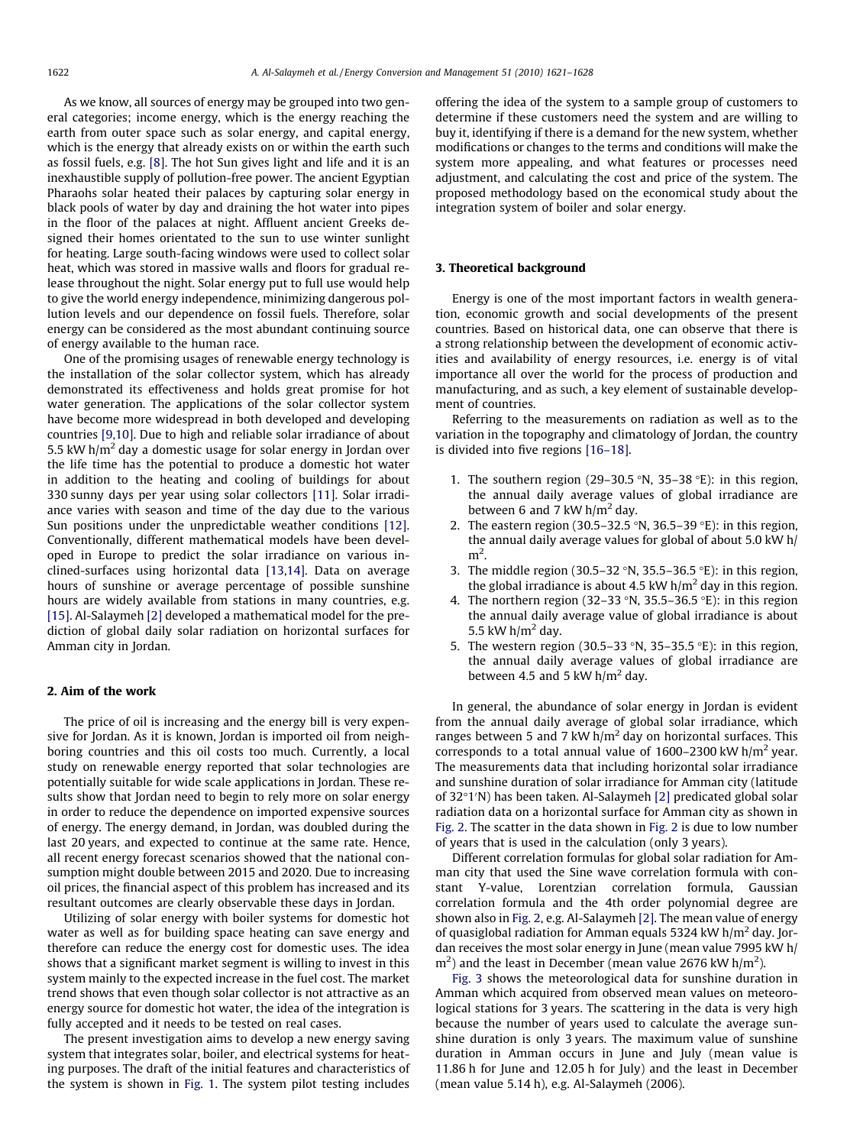As we know, all sources of energy may be grouped into two general categories; income energy, which is the energy reaching the earth from outer space such as solar energy, and capital energy, which is the energy that already exists on or within the earth such as fossil fuels, e.g. [\[8\]](#page--1-0). The hot Sun gives light and life and it is an inexhaustible supply of pollution-free power. The ancient Egyptian Pharaohs solar heated their palaces by capturing solar energy in black pools of water by day and draining the hot water into pipes in the floor of the palaces at night. Affluent ancient Greeks designed their homes orientated to the sun to use winter sunlight for heating. Large south-facing windows were used to collect solar heat, which was stored in massive walls and floors for gradual release throughout the night. Solar energy put to full use would help to give the world energy independence, minimizing dangerous pollution levels and our dependence on fossil fuels. Therefore, solar energy can be considered as the most abundant continuing source of energy available to the human race.

One of the promising usages of renewable energy technology is the installation of the solar collector system, which has already demonstrated its effectiveness and holds great promise for hot water generation. The applications of the solar collector system have become more widespread in both developed and developing countries [\[9,10\]](#page--1-0). Due to high and reliable solar irradiance of about 5.5 kW  $h/m<sup>2</sup>$  day a domestic usage for solar energy in Jordan over the life time has the potential to produce a domestic hot water in addition to the heating and cooling of buildings for about 330 sunny days per year using solar collectors [\[11\]](#page--1-0). Solar irradiance varies with season and time of the day due to the various Sun positions under the unpredictable weather conditions [\[12\].](#page--1-0) Conventionally, different mathematical models have been developed in Europe to predict the solar irradiance on various inclined-surfaces using horizontal data [\[13,14\]](#page--1-0). Data on average hours of sunshine or average percentage of possible sunshine hours are widely available from stations in many countries, e.g. [\[15\]](#page--1-0). Al-Salaymeh [\[2\]](#page--1-0) developed a mathematical model for the prediction of global daily solar radiation on horizontal surfaces for Amman city in Jordan.

#### 2. Aim of the work

The price of oil is increasing and the energy bill is very expensive for Jordan. As it is known, Jordan is imported oil from neighboring countries and this oil costs too much. Currently, a local study on renewable energy reported that solar technologies are potentially suitable for wide scale applications in Jordan. These results show that Jordan need to begin to rely more on solar energy in order to reduce the dependence on imported expensive sources of energy. The energy demand, in Jordan, was doubled during the last 20 years, and expected to continue at the same rate. Hence, all recent energy forecast scenarios showed that the national consumption might double between 2015 and 2020. Due to increasing oil prices, the financial aspect of this problem has increased and its resultant outcomes are clearly observable these days in Jordan.

Utilizing of solar energy with boiler systems for domestic hot water as well as for building space heating can save energy and therefore can reduce the energy cost for domestic uses. The idea shows that a significant market segment is willing to invest in this system mainly to the expected increase in the fuel cost. The market trend shows that even though solar collector is not attractive as an energy source for domestic hot water, the idea of the integration is fully accepted and it needs to be tested on real cases.

The present investigation aims to develop a new energy saving system that integrates solar, boiler, and electrical systems for heating purposes. The draft of the initial features and characteristics of the system is shown in [Fig. 1](#page--1-0). The system pilot testing includes offering the idea of the system to a sample group of customers to determine if these customers need the system and are willing to buy it, identifying if there is a demand for the new system, whether modifications or changes to the terms and conditions will make the system more appealing, and what features or processes need adjustment, and calculating the cost and price of the system. The proposed methodology based on the economical study about the integration system of boiler and solar energy.

#### 3. Theoretical background

Energy is one of the most important factors in wealth generation, economic growth and social developments of the present countries. Based on historical data, one can observe that there is a strong relationship between the development of economic activities and availability of energy resources, i.e. energy is of vital importance all over the world for the process of production and manufacturing, and as such, a key element of sustainable development of countries.

Referring to the measurements on radiation as well as to the variation in the topography and climatology of Jordan, the country is divided into five regions [\[16–18\].](#page--1-0)

- 1. The southern region (29-30.5 °N, 35-38 °E): in this region, the annual daily average values of global irradiance are between 6 and 7 kW  $h/m^2$  day.
- 2. The eastern region (30.5–32.5 °N, 36.5–39 °E): in this region, the annual daily average values for global of about 5.0 kW h/  $m<sup>2</sup>$ .
- 3. The middle region (30.5–32 °N, 35.5–36.5 °E): in this region, the global irradiance is about 4.5 kW  $h/m^2$  day in this region.
- 4. The northern region (32-33 °N, 35.5-36.5 °E): in this region the annual daily average value of global irradiance is about 5.5 kW  $h/m<sup>2</sup>$  day.
- 5. The western region (30.5–33  $\textdegree N$ , 35–35.5  $\textdegree E$ ): in this region, the annual daily average values of global irradiance are between 4.5 and 5 kW  $h/m<sup>2</sup>$  day.

In general, the abundance of solar energy in Jordan is evident from the annual daily average of global solar irradiance, which ranges between 5 and 7 kW  $h/m^2$  day on horizontal surfaces. This corresponds to a total annual value of  $1600-2300$  kW h/m<sup>2</sup> year. The measurements data that including horizontal solar irradiance and sunshine duration of solar irradiance for Amman city (latitude of 32°1'N) has been taken. Al-Salaymeh [\[2\]](#page--1-0) predicated global solar radiation data on a horizontal surface for Amman city as shown in [Fig. 2.](#page--1-0) The scatter in the data shown in [Fig. 2](#page--1-0) is due to low number of years that is used in the calculation (only 3 years).

Different correlation formulas for global solar radiation for Amman city that used the Sine wave correlation formula with constant Y-value, Lorentzian correlation formula, Gaussian correlation formula and the 4th order polynomial degree are shown also in [Fig. 2,](#page--1-0) e.g. Al-Salaymeh [\[2\]](#page--1-0). The mean value of energy of quasiglobal radiation for Amman equals 5324 kW  $h/m^2$  day. Jordan receives the most solar energy in June (mean value 7995 kW h/  $\text{m}^2$ ) and the least in December (mean value 2676 kW h/m<sup>2</sup>).

[Fig. 3](#page--1-0) shows the meteorological data for sunshine duration in Amman which acquired from observed mean values on meteorological stations for 3 years. The scattering in the data is very high because the number of years used to calculate the average sunshine duration is only 3 years. The maximum value of sunshine duration in Amman occurs in June and July (mean value is 11.86 h for June and 12.05 h for July) and the least in December (mean value 5.14 h), e.g. Al-Salaymeh (2006).